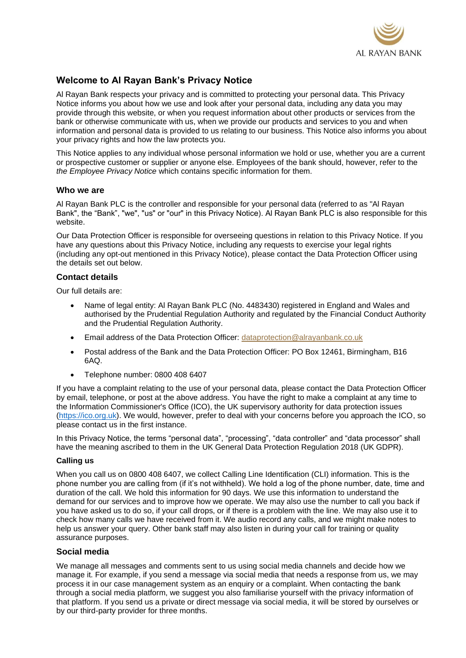

# **Welcome to Al Rayan Bank's Privacy Notice**

Al Rayan Bank respects your privacy and is committed to protecting your personal data. This Privacy Notice informs you about how we use and look after your personal data, including any data you may provide through this website, or when you request information about other products or services from the bank or otherwise communicate with us, when we provide our products and services to you and when information and personal data is provided to us relating to our business. This Notice also informs you about your privacy rights and how the law protects you.

This Notice applies to any individual whose personal information we hold or use, whether you are a current or prospective customer or supplier or anyone else. Employees of the bank should, however, refer to the *the Employee Privacy Notice* which contains specific information for them.

#### **Who we are**

Al Rayan Bank PLC is the controller and responsible for your personal data (referred to as "Al Rayan Bank", the "Bank", "we", "us" or "our" in this Privacy Notice). Al Rayan Bank PLC is also responsible for this website.

Our Data Protection Officer is responsible for overseeing questions in relation to this Privacy Notice. If you have any questions about this Privacy Notice, including any requests to exercise your legal rights (including any opt-out mentioned in this Privacy Notice), please contact the Data Protection Officer using the details set out below.

#### **Contact details**

Our full details are:

- Name of legal entity: Al Rayan Bank PLC (No. 4483430) registered in England and Wales and authorised by the Prudential Regulation Authority and regulated by the Financial Conduct Authority and the Prudential Regulation Authority.
- Email address of the Data Protection Officer: [dataprotection@alrayanbank.co.uk](mailto:dataprotection@alrayanbank.co.uk)
- Postal address of the Bank and the Data Protection Officer: PO Box 12461, Birmingham, B16 6AQ.
- Telephone number: 0800 408 6407

If you have a complaint relating to the use of your personal data, please contact the Data Protection Officer by email, telephone, or post at the above address. You have the right to make a complaint at any time to the Information Commissioner's Office (ICO), the UK supervisory authority for data protection issues [\(https://ico.org.uk\)](https://ico.org.uk/). We would, however, prefer to deal with your concerns before you approach the ICO, so please contact us in the first instance.

In this Privacy Notice, the terms "personal data", "processing", "data controller" and "data processor" shall have the meaning ascribed to them in the UK General Data Protection Regulation 2018 (UK GDPR).

#### **Calling us**

When you call us on 0800 408 6407, we collect Calling Line Identification (CLI) information. This is the phone number you are calling from (if it's not withheld). We hold a log of the phone number, date, time and duration of the call. We hold this information for 90 days. We use this information to understand the demand for our services and to improve how we operate. We may also use the number to call you back if you have asked us to do so, if your call drops, or if there is a problem with the line. We may also use it to check how many calls we have received from it. We audio record any calls, and we might make notes to help us answer your query. Other bank staff may also listen in during your call for training or quality assurance purposes.

#### **Social media**

We manage all messages and comments sent to us using social media channels and decide how we manage it. For example, if you send a message via social media that needs a response from us, we may process it in our case management system as an enquiry or a complaint. When contacting the bank through a social media platform, we suggest you also familiarise yourself with the privacy information of that platform. If you send us a private or direct message via social media, it will be stored by ourselves or by our third-party provider for three months.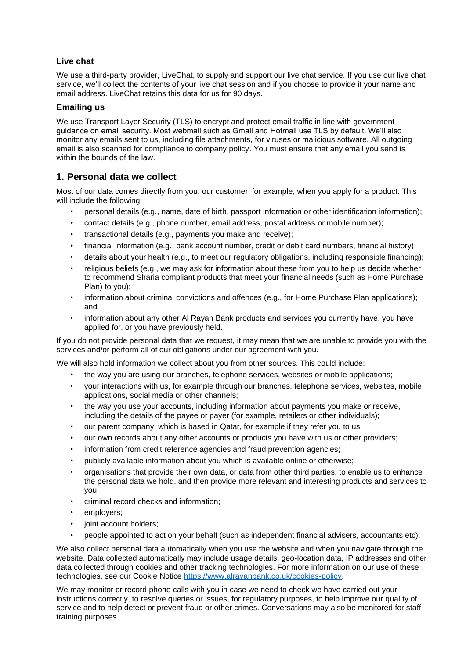### **Live chat**

We use a third-party provider, LiveChat, to supply and support our live chat service. If you use our live chat service, we'll collect the contents of your live chat session and if you choose to provide it your name and email address. LiveChat retains this data for us for 90 days.

#### **Emailing us**

We use Transport Layer Security (TLS) to encrypt and protect email traffic in line with government guidance on email security. Most webmail such as Gmail and Hotmail use TLS by default. We'll also monitor any emails sent to us, including file attachments, for viruses or malicious software. All outgoing email is also scanned for compliance to company policy. You must ensure that any email you send is within the bounds of the law.

### **1. Personal data we collect**

Most of our data comes directly from you, our customer, for example, when you apply for a product. This will include the following:

- personal details (e.g., name, date of birth, passport information or other identification information);
- contact details (e.g., phone number, email address, postal address or mobile number);
- transactional details (e.g., payments you make and receive);
- financial information (e.g., bank account number, credit or debit card numbers, financial history);
- details about your health (e.g., to meet our regulatory obligations, including responsible financing);
- religious beliefs (e.g., we may ask for information about these from you to help us decide whether to recommend Sharia compliant products that meet your financial needs (such as Home Purchase Plan) to you);
- information about criminal convictions and offences (e.g., for Home Purchase Plan applications); and
- information about any other Al Rayan Bank products and services you currently have, you have applied for, or you have previously held.

If you do not provide personal data that we request, it may mean that we are unable to provide you with the services and/or perform all of our obligations under our agreement with you.

We will also hold information we collect about you from other sources. This could include:

- the way you are using our branches, telephone services, websites or mobile applications;
- your interactions with us, for example through our branches, telephone services, websites, mobile applications, social media or other channels;
- the way you use your accounts, including information about payments you make or receive, including the details of the payee or payer (for example, retailers or other individuals);
- our parent company, which is based in Qatar, for example if they refer you to us;
- our own records about any other accounts or products you have with us or other providers;
- information from credit reference agencies and fraud prevention agencies;
- publicly available information about you which is available online or otherwise;
- organisations that provide their own data, or data from other third parties, to enable us to enhance the personal data we hold, and then provide more relevant and interesting products and services to you;
- criminal record checks and information;
- employers;
- joint account holders;
- people appointed to act on your behalf (such as independent financial advisers, accountants etc).

We also collect personal data automatically when you use the website and when you navigate through the website. Data collected automatically may include usage details, geo-location data, IP addresses and other data collected through cookies and other tracking technologies. For more information on our use of these technologies, see our Cookie Notice [https://www.alrayanbank.co.uk/cookies-policy.](https://www.alrayanbank.co.uk/cookies-policy)

We may monitor or record phone calls with you in case we need to check we have carried out your instructions correctly, to resolve queries or issues, for regulatory purposes, to help improve our quality of service and to help detect or prevent fraud or other crimes. Conversations may also be monitored for staff training purposes.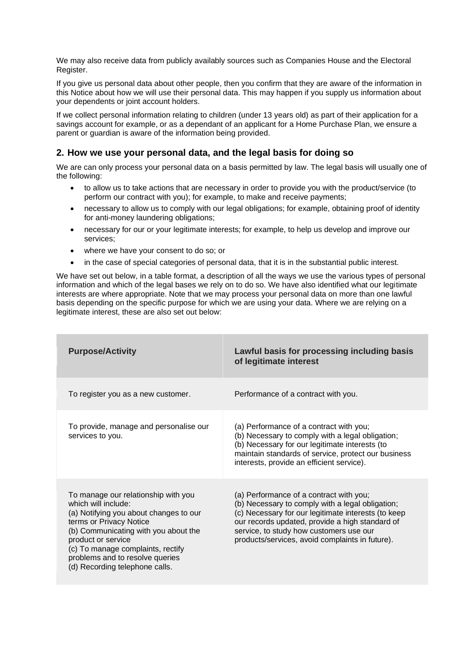We may also receive data from publicly availably sources such as Companies House and the Electoral Register.

If you give us personal data about other people, then you confirm that they are aware of the information in this Notice about how we will use their personal data. This may happen if you supply us information about your dependents or joint account holders.

If we collect personal information relating to children (under 13 years old) as part of their application for a savings account for example, or as a dependant of an applicant for a Home Purchase Plan, we ensure a parent or guardian is aware of the information being provided.

# **2. How we use your personal data, and the legal basis for doing so**

We are can only process your personal data on a basis permitted by law. The legal basis will usually one of the following:

- to allow us to take actions that are necessary in order to provide you with the product/service (to perform our contract with you); for example, to make and receive payments;
- necessary to allow us to comply with our legal obligations; for example, obtaining proof of identity for anti-money laundering obligations;
- necessary for our or your legitimate interests; for example, to help us develop and improve our services;
- where we have your consent to do so; or
- in the case of special categories of personal data, that it is in the substantial public interest.

We have set out below, in a table format, a description of all the ways we use the various types of personal information and which of the legal bases we rely on to do so. We have also identified what our legitimate interests are where appropriate. Note that we may process your personal data on more than one lawful basis depending on the specific purpose for which we are using your data. Where we are relying on a legitimate interest, these are also set out below:

| <b>Purpose/Activity</b>                                                                                                                                                                                                                                                                                 | Lawful basis for processing including basis<br>of legitimate interest                                                                                                                                                                                                                               |
|---------------------------------------------------------------------------------------------------------------------------------------------------------------------------------------------------------------------------------------------------------------------------------------------------------|-----------------------------------------------------------------------------------------------------------------------------------------------------------------------------------------------------------------------------------------------------------------------------------------------------|
| To register you as a new customer.                                                                                                                                                                                                                                                                      | Performance of a contract with you.                                                                                                                                                                                                                                                                 |
| To provide, manage and personalise our<br>services to you.                                                                                                                                                                                                                                              | (a) Performance of a contract with you;<br>(b) Necessary to comply with a legal obligation;<br>(b) Necessary for our legitimate interests (to<br>maintain standards of service, protect our business<br>interests, provide an efficient service).                                                   |
| To manage our relationship with you<br>which will include:<br>(a) Notifying you about changes to our<br>terms or Privacy Notice<br>(b) Communicating with you about the<br>product or service<br>(c) To manage complaints, rectify<br>problems and to resolve queries<br>(d) Recording telephone calls. | (a) Performance of a contract with you;<br>(b) Necessary to comply with a legal obligation;<br>(c) Necessary for our legitimate interests (to keep<br>our records updated, provide a high standard of<br>service, to study how customers use our<br>products/services, avoid complaints in future). |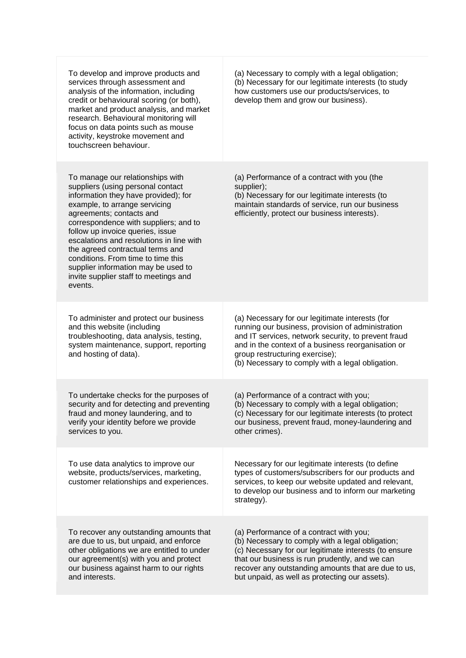| To develop and improve products and<br>services through assessment and<br>analysis of the information, including<br>credit or behavioural scoring (or both),<br>market and product analysis, and market<br>research. Behavioural monitoring will<br>focus on data points such as mouse<br>activity, keystroke movement and<br>touchscreen behaviour.                                                                                                                     | (a) Necessary to comply with a legal obligation;<br>(b) Necessary for our legitimate interests (to study<br>how customers use our products/services, to<br>develop them and grow our business).                                                                                                                 |
|--------------------------------------------------------------------------------------------------------------------------------------------------------------------------------------------------------------------------------------------------------------------------------------------------------------------------------------------------------------------------------------------------------------------------------------------------------------------------|-----------------------------------------------------------------------------------------------------------------------------------------------------------------------------------------------------------------------------------------------------------------------------------------------------------------|
| To manage our relationships with<br>suppliers (using personal contact<br>information they have provided); for<br>example, to arrange servicing<br>agreements; contacts and<br>correspondence with suppliers; and to<br>follow up invoice queries, issue<br>escalations and resolutions in line with<br>the agreed contractual terms and<br>conditions. From time to time this<br>supplier information may be used to<br>invite supplier staff to meetings and<br>events. | (a) Performance of a contract with you (the<br>supplier);<br>(b) Necessary for our legitimate interests (to<br>maintain standards of service, run our business<br>efficiently, protect our business interests).                                                                                                 |
| To administer and protect our business<br>and this website (including<br>troubleshooting, data analysis, testing,<br>system maintenance, support, reporting<br>and hosting of data).                                                                                                                                                                                                                                                                                     | (a) Necessary for our legitimate interests (for<br>running our business, provision of administration<br>and IT services, network security, to prevent fraud<br>and in the context of a business reorganisation or<br>group restructuring exercise);<br>(b) Necessary to comply with a legal obligation.         |
| To undertake checks for the purposes of<br>security and for detecting and preventing<br>fraud and money laundering, and to<br>verify your identity before we provide<br>services to you.                                                                                                                                                                                                                                                                                 | (a) Performance of a contract with you;<br>(b) Necessary to comply with a legal obligation;<br>(c) Necessary for our legitimate interests (to protect<br>our business, prevent fraud, money-laundering and<br>other crimes).                                                                                    |
| To use data analytics to improve our<br>website, products/services, marketing,<br>customer relationships and experiences.                                                                                                                                                                                                                                                                                                                                                | Necessary for our legitimate interests (to define<br>types of customers/subscribers for our products and<br>services, to keep our website updated and relevant,<br>to develop our business and to inform our marketing<br>strategy).                                                                            |
| To recover any outstanding amounts that<br>are due to us, but unpaid, and enforce<br>other obligations we are entitled to under<br>our agreement(s) with you and protect<br>our business against harm to our rights<br>and interests.                                                                                                                                                                                                                                    | (a) Performance of a contract with you;<br>(b) Necessary to comply with a legal obligation;<br>(c) Necessary for our legitimate interests (to ensure<br>that our business is run prudently, and we can<br>recover any outstanding amounts that are due to us,<br>but unpaid, as well as protecting our assets). |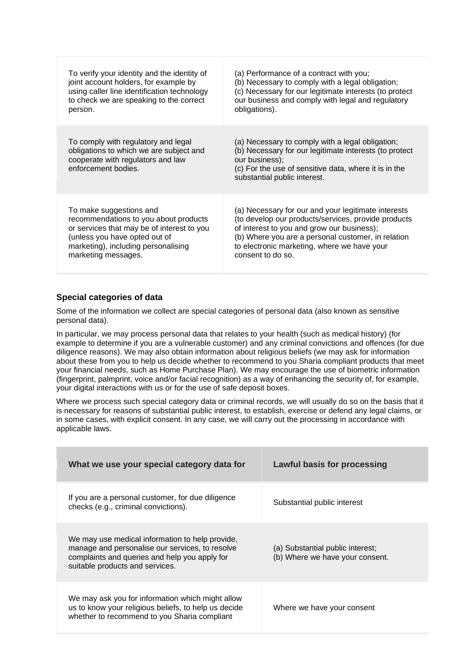| To verify your identity and the identity of                                                                                                | (a) Performance of a contract with you;                                                                                                                                                                               |
|--------------------------------------------------------------------------------------------------------------------------------------------|-----------------------------------------------------------------------------------------------------------------------------------------------------------------------------------------------------------------------|
| joint account holders, for example by                                                                                                      | (b) Necessary to comply with a legal obligation;                                                                                                                                                                      |
| using caller line identification technology                                                                                                | (c) Necessary for our legitimate interests (to protect                                                                                                                                                                |
| to check we are speaking to the correct                                                                                                    | our business and comply with legal and regulatory                                                                                                                                                                     |
| person.                                                                                                                                    | obligations).                                                                                                                                                                                                         |
| To comply with regulatory and legal<br>obligations to which we are subject and<br>cooperate with regulators and law<br>enforcement bodies. | (a) Necessary to comply with a legal obligation;<br>(b) Necessary for our legitimate interests (to protect<br>our business);<br>(c) For the use of sensitive data, where it is in the<br>substantial public interest. |
| To make suggestions and                                                                                                                    | (a) Necessary for our and your legitimate interests                                                                                                                                                                   |
| recommendations to you about products                                                                                                      | (to develop our products/services, provide products)                                                                                                                                                                  |
| or services that may be of interest to you                                                                                                 | of interest to you and grow our business);                                                                                                                                                                            |
| (unless you have opted out of                                                                                                              | (b) Where you are a personal customer, in relation                                                                                                                                                                    |
| marketing), including personalising                                                                                                        | to electronic marketing, where we have your                                                                                                                                                                           |
| marketing messages.                                                                                                                        | consent to do so.                                                                                                                                                                                                     |

### **Special categories of data**

Some of the information we collect are special categories of personal data (also known as sensitive personal data).

In particular, we may process personal data that relates to your health (such as medical history) (for example to determine if you are a vulnerable customer) and any criminal convictions and offences (for due diligence reasons). We may also obtain information about religious beliefs (we may ask for information about these from you to help us decide whether to recommend to you Sharia compliant products that meet your financial needs, such as Home Purchase Plan). We may encourage the use of biometric information (fingerprint, palmprint, voice and/or facial recognition) as a way of enhancing the security of, for example, your digital interactions with us or for the use of safe deposit boxes.

Where we process such special category data or criminal records, we will usually do so on the basis that it is necessary for reasons of substantial public interest, to establish, exercise or defend any legal claims, or in some cases, with explicit consent. In any case, we will carry out the processing in accordance with applicable laws.

| What we use your special category data for                                                                                                                                             | Lawful basis for processing                                         |
|----------------------------------------------------------------------------------------------------------------------------------------------------------------------------------------|---------------------------------------------------------------------|
| If you are a personal customer, for due diligence<br>checks (e.g., criminal convictions).                                                                                              | Substantial public interest                                         |
| We may use medical information to help provide,<br>manage and personalise our services, to resolve<br>complaints and queries and help you apply for<br>suitable products and services. | (a) Substantial public interest:<br>(b) Where we have your consent. |
| We may ask you for information which might allow<br>us to know your religious beliefs, to help us decide<br>whether to recommend to you Sharia compliant                               | Where we have your consent                                          |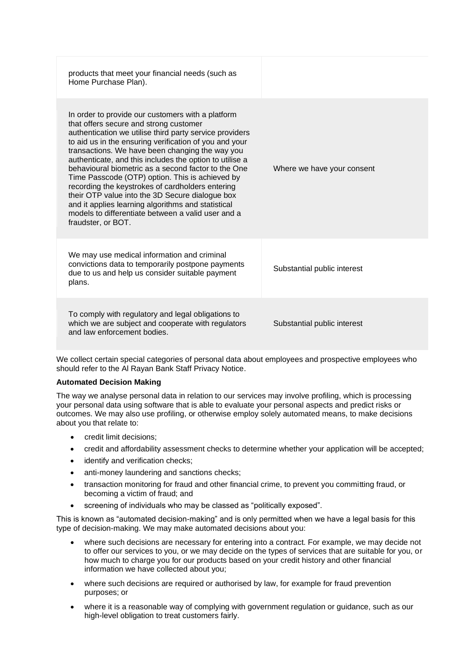| products that meet your financial needs (such as<br>Home Purchase Plan).                                                                                                                                                                                                                                                                                                                                                                                                                                                                                                                                                                                                          |                             |
|-----------------------------------------------------------------------------------------------------------------------------------------------------------------------------------------------------------------------------------------------------------------------------------------------------------------------------------------------------------------------------------------------------------------------------------------------------------------------------------------------------------------------------------------------------------------------------------------------------------------------------------------------------------------------------------|-----------------------------|
| In order to provide our customers with a platform<br>that offers secure and strong customer<br>authentication we utilise third party service providers<br>to aid us in the ensuring verification of you and your<br>transactions. We have been changing the way you<br>authenticate, and this includes the option to utilise a<br>behavioural biometric as a second factor to the One<br>Time Passcode (OTP) option. This is achieved by<br>recording the keystrokes of cardholders entering<br>their OTP value into the 3D Secure dialogue box<br>and it applies learning algorithms and statistical<br>models to differentiate between a valid user and a<br>fraudster, or BOT. | Where we have your consent  |
| We may use medical information and criminal<br>convictions data to temporarily postpone payments<br>due to us and help us consider suitable payment<br>plans.                                                                                                                                                                                                                                                                                                                                                                                                                                                                                                                     | Substantial public interest |
| To comply with regulatory and legal obligations to<br>which we are subject and cooperate with regulators<br>and law enforcement bodies.                                                                                                                                                                                                                                                                                                                                                                                                                                                                                                                                           | Substantial public interest |

We collect certain special categories of personal data about employees and prospective employees who should refer to the Al Rayan Bank Staff Privacy Notice.

#### **Automated Decision Making**

The way we analyse personal data in relation to our services may involve profiling, which is processing your personal data using software that is able to evaluate your personal aspects and predict risks or outcomes. We may also use profiling, or otherwise employ solely automated means, to make decisions about you that relate to:

- credit limit decisions;
- credit and affordability assessment checks to determine whether your application will be accepted;
- identify and verification checks;
- anti-money laundering and sanctions checks;
- transaction monitoring for fraud and other financial crime, to prevent you committing fraud, or becoming a victim of fraud; and
- screening of individuals who may be classed as "politically exposed".

This is known as "automated decision-making" and is only permitted when we have a legal basis for this type of decision-making. We may make automated decisions about you:

- where such decisions are necessary for entering into a contract. For example, we may decide not to offer our services to you, or we may decide on the types of services that are suitable for you, or how much to charge you for our products based on your credit history and other financial information we have collected about you;
- where such decisions are required or authorised by law, for example for fraud prevention purposes; or
- where it is a reasonable way of complying with government regulation or guidance, such as our high-level obligation to treat customers fairly.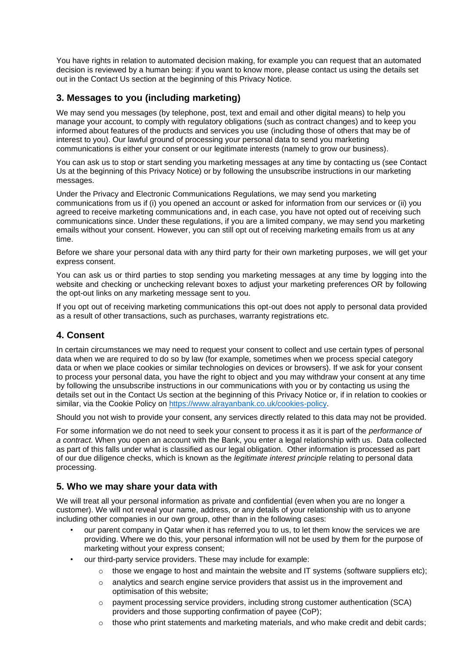You have rights in relation to automated decision making, for example you can request that an automated decision is reviewed by a human being: if you want to know more, please contact us using the details set out in the Contact Us section at the beginning of this Privacy Notice.

# **3. Messages to you (including marketing)**

We may send you messages (by telephone, post, text and email and other digital means) to help you manage your account, to comply with regulatory obligations (such as contract changes) and to keep you informed about features of the products and services you use (including those of others that may be of interest to you). Our lawful ground of processing your personal data to send you marketing communications is either your consent or our legitimate interests (namely to grow our business).

You can ask us to stop or start sending you marketing messages at any time by contacting us (see Contact Us at the beginning of this Privacy Notice) or by following the unsubscribe instructions in our marketing messages.

Under the Privacy and Electronic Communications Regulations, we may send you marketing communications from us if (i) you opened an account or asked for information from our services or (ii) you agreed to receive marketing communications and, in each case, you have not opted out of receiving such communications since. Under these regulations, if you are a limited company, we may send you marketing emails without your consent. However, you can still opt out of receiving marketing emails from us at any time.

Before we share your personal data with any third party for their own marketing purposes, we will get your express consent.

You can ask us or third parties to stop sending you marketing messages at any time by logging into the website and checking or unchecking relevant boxes to adjust your marketing preferences OR by following the opt-out links on any marketing message sent to you.

If you opt out of receiving marketing communications this opt-out does not apply to personal data provided as a result of other transactions, such as purchases, warranty registrations etc.

# **4. Consent**

In certain circumstances we may need to request your consent to collect and use certain types of personal data when we are required to do so by law (for example, sometimes when we process special category data or when we place cookies or similar technologies on devices or browsers). If we ask for your consent to process your personal data, you have the right to object and you may withdraw your consent at any time by following the unsubscribe instructions in our communications with you or by contacting us using the details set out in the Contact Us section at the beginning of this Privacy Notice or, if in relation to cookies or similar, via the Cookie Policy on [https://www.alrayanbank.co.uk/cookies-policy.](https://www.alrayanbank.co.uk/cookies-policy)

Should you not wish to provide your consent, any services directly related to this data may not be provided.

For some information we do not need to seek your consent to process it as it is part of the *performance of a contract*. When you open an account with the Bank, you enter a legal relationship with us. Data collected as part of this falls under what is classified as our legal obligation. Other information is processed as part of our due diligence checks, which is known as the *legitimate interest principle* relating to personal data processing.

# **5. Who we may share your data with**

We will treat all your personal information as private and confidential (even when you are no longer a customer). We will not reveal your name, address, or any details of your relationship with us to anyone including other companies in our own group, other than in the following cases:

- our parent company in Qatar when it has referred you to us, to let them know the services we are providing. Where we do this, your personal information will not be used by them for the purpose of marketing without your express consent;
- our third-party service providers. These may include for example:
	- $\circ$  those we engage to host and maintain the website and IT systems (software suppliers etc);
	- $\circ$  analytics and search engine service providers that assist us in the improvement and optimisation of this website;
	- o payment processing service providers, including strong customer authentication (SCA) providers and those supporting confirmation of payee (CoP);
	- those who print statements and marketing materials, and who make credit and debit cards;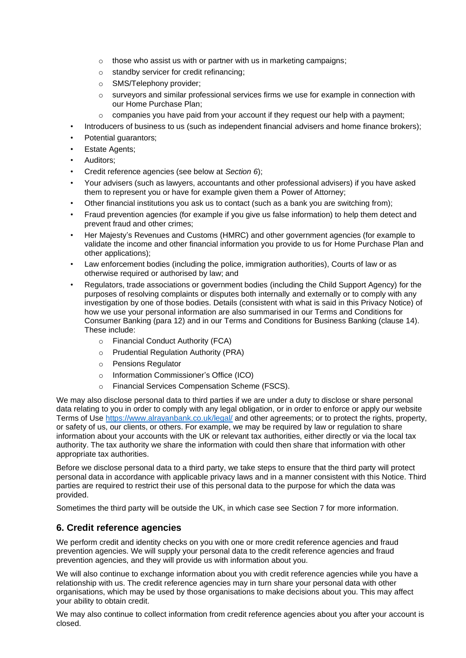- o those who assist us with or partner with us in marketing campaigns;
- o standby servicer for credit refinancing;
- o SMS/Telephony provider;
- $\circ$  surveyors and similar professional services firms we use for example in connection with our Home Purchase Plan;
- o companies you have paid from your account if they request our help with a payment;
- Introducers of business to us (such as independent financial advisers and home finance brokers);
- Potential guarantors;
- **Estate Agents;**
- Auditors:
- Credit reference agencies (see below at *Section 6*);
- Your advisers (such as lawyers, accountants and other professional advisers) if you have asked them to represent you or have for example given them a Power of Attorney;
- Other financial institutions you ask us to contact (such as a bank you are switching from);
- Fraud prevention agencies (for example if you give us false information) to help them detect and prevent fraud and other crimes;
- Her Majesty's Revenues and Customs (HMRC) and other government agencies (for example to validate the income and other financial information you provide to us for Home Purchase Plan and other applications);
- Law enforcement bodies (including the police, immigration authorities), Courts of law or as otherwise required or authorised by law; and
- Regulators, trade associations or government bodies (including the Child Support Agency) for the purposes of resolving complaints or disputes both internally and externally or to comply with any investigation by one of those bodies. Details (consistent with what is said in this Privacy Notice) of how we use your personal information are also summarised in our Terms and Conditions for Consumer Banking (para 12) and in our Terms and Conditions for Business Banking (clause 14). These include:
	- o Financial Conduct Authority (FCA)
	- o Prudential Regulation Authority (PRA)
	- o Pensions Regulator
	- o Information Commissioner's Office (ICO)
	- o Financial Services Compensation Scheme (FSCS).

We may also disclose personal data to third parties if we are under a duty to disclose or share personal data relating to you in order to comply with any legal obligation, or in order to enforce or apply our website Terms of Use<https://www.alrayanbank.co.uk/legal/> and other agreements; or to protect the rights, property, or safety of us, our clients, or others. For example, we may be required by law or regulation to share information about your accounts with the UK or relevant tax authorities, either directly or via the local tax authority. The tax authority we share the information with could then share that information with other appropriate tax authorities.

Before we disclose personal data to a third party, we take steps to ensure that the third party will protect personal data in accordance with applicable privacy laws and in a manner consistent with this Notice. Third parties are required to restrict their use of this personal data to the purpose for which the data was provided.

Sometimes the third party will be outside the UK, in which case see Section 7 for more information.

# **6. Credit reference agencies**

We perform credit and identity checks on you with one or more credit reference agencies and fraud prevention agencies. We will supply your personal data to the credit reference agencies and fraud prevention agencies, and they will provide us with information about you.

We will also continue to exchange information about you with credit reference agencies while you have a relationship with us. The credit reference agencies may in turn share your personal data with other organisations, which may be used by those organisations to make decisions about you. This may affect your ability to obtain credit.

We may also continue to collect information from credit reference agencies about you after your account is closed.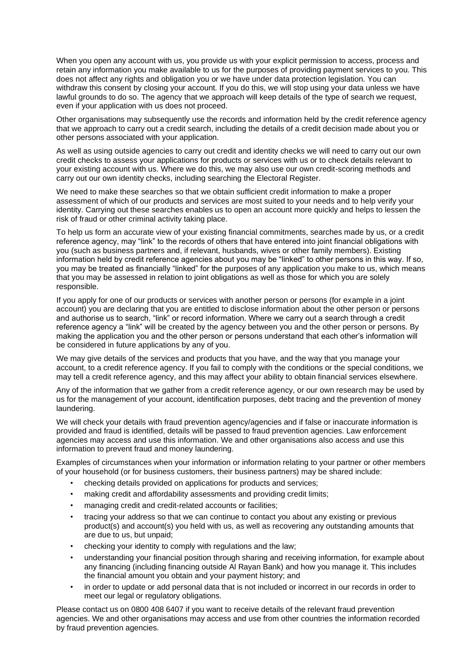When you open any account with us, you provide us with your explicit permission to access, process and retain any information you make available to us for the purposes of providing payment services to you. This does not affect any rights and obligation you or we have under data protection legislation. You can withdraw this consent by closing your account. If you do this, we will stop using your data unless we have lawful grounds to do so. The agency that we approach will keep details of the type of search we request, even if your application with us does not proceed.

Other organisations may subsequently use the records and information held by the credit reference agency that we approach to carry out a credit search, including the details of a credit decision made about you or other persons associated with your application.

As well as using outside agencies to carry out credit and identity checks we will need to carry out our own credit checks to assess your applications for products or services with us or to check details relevant to your existing account with us. Where we do this, we may also use our own credit-scoring methods and carry out our own identity checks, including searching the Electoral Register.

We need to make these searches so that we obtain sufficient credit information to make a proper assessment of which of our products and services are most suited to your needs and to help verify your identity. Carrying out these searches enables us to open an account more quickly and helps to lessen the risk of fraud or other criminal activity taking place.

To help us form an accurate view of your existing financial commitments, searches made by us, or a credit reference agency, may "link" to the records of others that have entered into joint financial obligations with you (such as business partners and, if relevant, husbands, wives or other family members). Existing information held by credit reference agencies about you may be "linked" to other persons in this way. If so, you may be treated as financially "linked" for the purposes of any application you make to us, which means that you may be assessed in relation to joint obligations as well as those for which you are solely responsible.

If you apply for one of our products or services with another person or persons (for example in a joint account) you are declaring that you are entitled to disclose information about the other person or persons and authorise us to search, "link" or record information. Where we carry out a search through a credit reference agency a "link" will be created by the agency between you and the other person or persons. By making the application you and the other person or persons understand that each other's information will be considered in future applications by any of you.

We may give details of the services and products that you have, and the way that you manage your account, to a credit reference agency. If you fail to comply with the conditions or the special conditions, we may tell a credit reference agency, and this may affect your ability to obtain financial services elsewhere.

Any of the information that we gather from a credit reference agency, or our own research may be used by us for the management of your account, identification purposes, debt tracing and the prevention of money laundering.

We will check your details with fraud prevention agency/agencies and if false or inaccurate information is provided and fraud is identified, details will be passed to fraud prevention agencies. Law enforcement agencies may access and use this information. We and other organisations also access and use this information to prevent fraud and money laundering.

Examples of circumstances when your information or information relating to your partner or other members of your household (or for business customers, their business partners) may be shared include:

- checking details provided on applications for products and services;
- making credit and affordability assessments and providing credit limits;
- managing credit and credit-related accounts or facilities;
- tracing your address so that we can continue to contact you about any existing or previous product(s) and account(s) you held with us, as well as recovering any outstanding amounts that are due to us, but unpaid;
- checking your identity to comply with regulations and the law;
- understanding your financial position through sharing and receiving information, for example about any financing (including financing outside Al Rayan Bank) and how you manage it. This includes the financial amount you obtain and your payment history; and
- in order to update or add personal data that is not included or incorrect in our records in order to meet our legal or regulatory obligations.

Please contact us on 0800 408 6407 if you want to receive details of the relevant fraud prevention agencies. We and other organisations may access and use from other countries the information recorded by fraud prevention agencies.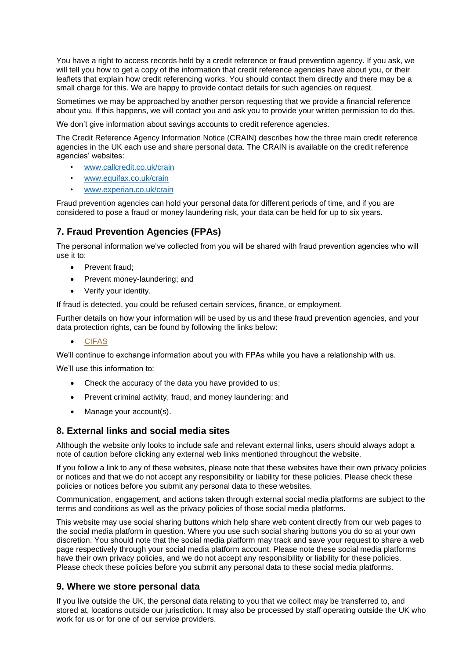You have a right to access records held by a credit reference or fraud prevention agency. If you ask, we will tell you how to get a copy of the information that credit reference agencies have about you, or their leaflets that explain how credit referencing works. You should contact them directly and there may be a small charge for this. We are happy to provide contact details for such agencies on request.

Sometimes we may be approached by another person requesting that we provide a financial reference about you. If this happens, we will contact you and ask you to provide your written permission to do this.

We don't give information about savings accounts to credit reference agencies.

The Credit Reference Agency Information Notice (CRAIN) describes how the three main credit reference agencies in the UK each use and share personal data. The CRAIN is available on the credit reference agencies' websites:

- [www.callcredit.co.uk/crain](http://www.callcredit.co.uk/crain)
- [www.equifax.co.uk/crain](http://www.equifax.co.uk/crain)
- [www.experian.co.uk/crain](http://www.experian.co.uk/crain)

Fraud prevention agencies can hold your personal data for different periods of time, and if you are considered to pose a fraud or money laundering risk, your data can be held for up to six years.

# **7. Fraud Prevention Agencies (FPAs)**

The personal information we've collected from you will be shared with fraud prevention agencies who will use it to:

- Prevent fraud;
- Prevent money-laundering; and
- Verify your identity.

If fraud is detected, you could be refused certain services, finance, or employment.

Further details on how your information will be used by us and these fraud prevention agencies, and your data protection rights, can be found by following the links below:

#### • [CIFAS](https://www.cifas.org.uk/fpn)

We'll continue to exchange information about you with FPAs while you have a relationship with us.

We'll use this information to:

- Check the accuracy of the data you have provided to us;
- Prevent criminal activity, fraud, and money laundering; and
- Manage your account(s).

### **8. External links and social media sites**

Although the website only looks to include safe and relevant external links, users should always adopt a note of caution before clicking any external web links mentioned throughout the website.

If you follow a link to any of these websites, please note that these websites have their own privacy policies or notices and that we do not accept any responsibility or liability for these policies. Please check these policies or notices before you submit any personal data to these websites.

Communication, engagement, and actions taken through external social media platforms are subject to the terms and conditions as well as the privacy policies of those social media platforms.

This website may use social sharing buttons which help share web content directly from our web pages to the social media platform in question. Where you use such social sharing buttons you do so at your own discretion. You should note that the social media platform may track and save your request to share a web page respectively through your social media platform account. Please note these social media platforms have their own privacy policies, and we do not accept any responsibility or liability for these policies. Please check these policies before you submit any personal data to these social media platforms.

#### **9. Where we store personal data**

If you live outside the UK, the personal data relating to you that we collect may be transferred to, and stored at, locations outside our jurisdiction. It may also be processed by staff operating outside the UK who work for us or for one of our service providers.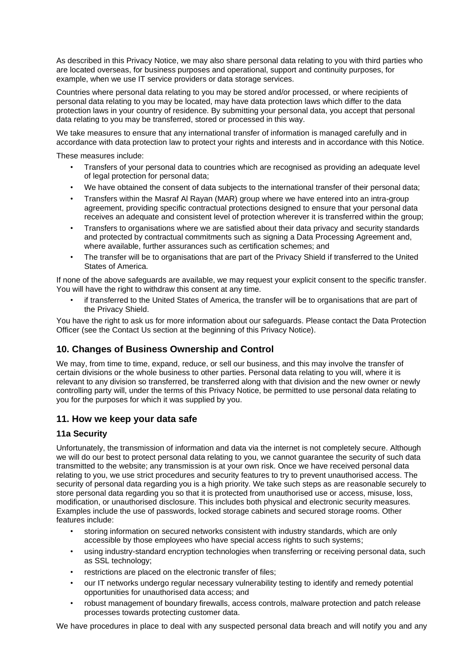As described in this Privacy Notice, we may also share personal data relating to you with third parties who are located overseas, for business purposes and operational, support and continuity purposes, for example, when we use IT service providers or data storage services.

Countries where personal data relating to you may be stored and/or processed, or where recipients of personal data relating to you may be located, may have data protection laws which differ to the data protection laws in your country of residence. By submitting your personal data, you accept that personal data relating to you may be transferred, stored or processed in this way.

We take measures to ensure that any international transfer of information is managed carefully and in accordance with data protection law to protect your rights and interests and in accordance with this Notice.

These measures include:

- Transfers of your personal data to countries which are recognised as providing an adequate level of legal protection for personal data;
- We have obtained the consent of data subjects to the international transfer of their personal data;
- Transfers within the Masraf Al Rayan (MAR) group where we have entered into an intra-group agreement, providing specific contractual protections designed to ensure that your personal data receives an adequate and consistent level of protection wherever it is transferred within the group;
- Transfers to organisations where we are satisfied about their data privacy and security standards and protected by contractual commitments such as signing a Data Processing Agreement and, where available, further assurances such as certification schemes; and
- The transfer will be to organisations that are part of the Privacy Shield if transferred to the United States of America.

If none of the above safeguards are available, we may request your explicit consent to the specific transfer. You will have the right to withdraw this consent at any time.

• if transferred to the United States of America, the transfer will be to organisations that are part of the Privacy Shield.

You have the right to ask us for more information about our safeguards. Please contact the Data Protection Officer (see the Contact Us section at the beginning of this Privacy Notice).

# **10. Changes of Business Ownership and Control**

We may, from time to time, expand, reduce, or sell our business, and this may involve the transfer of certain divisions or the whole business to other parties. Personal data relating to you will, where it is relevant to any division so transferred, be transferred along with that division and the new owner or newly controlling party will, under the terms of this Privacy Notice, be permitted to use personal data relating to you for the purposes for which it was supplied by you.

### **11. How we keep your data safe**

#### **11a Security**

Unfortunately, the transmission of information and data via the internet is not completely secure. Although we will do our best to protect personal data relating to you, we cannot guarantee the security of such data transmitted to the website; any transmission is at your own risk. Once we have received personal data relating to you, we use strict procedures and security features to try to prevent unauthorised access. The security of personal data regarding you is a high priority. We take such steps as are reasonable securely to store personal data regarding you so that it is protected from unauthorised use or access, misuse, loss, modification, or unauthorised disclosure. This includes both physical and electronic security measures. Examples include the use of passwords, locked storage cabinets and secured storage rooms. Other features include:

- storing information on secured networks consistent with industry standards, which are only accessible by those employees who have special access rights to such systems;
- using industry-standard encryption technologies when transferring or receiving personal data, such as SSL technology;
- restrictions are placed on the electronic transfer of files;
- our IT networks undergo regular necessary vulnerability testing to identify and remedy potential opportunities for unauthorised data access; and
- robust management of boundary firewalls, access controls, malware protection and patch release processes towards protecting customer data.

We have procedures in place to deal with any suspected personal data breach and will notify you and any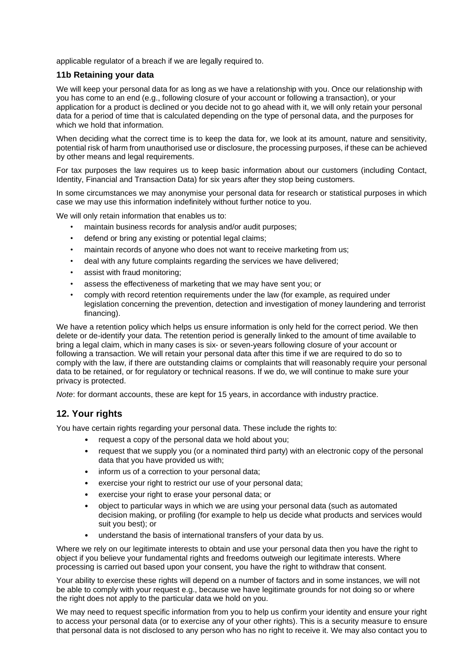applicable regulator of a breach if we are legally required to.

#### **11b Retaining your data**

We will keep your personal data for as long as we have a relationship with you. Once our relationship with you has come to an end (e.g., following closure of your account or following a transaction), or your application for a product is declined or you decide not to go ahead with it, we will only retain your personal data for a period of time that is calculated depending on the type of personal data, and the purposes for which we hold that information.

When deciding what the correct time is to keep the data for, we look at its amount, nature and sensitivity, potential risk of harm from unauthorised use or disclosure, the processing purposes, if these can be achieved by other means and legal requirements.

For tax purposes the law requires us to keep basic information about our customers (including Contact, Identity, Financial and Transaction Data) for six years after they stop being customers.

In some circumstances we may anonymise your personal data for research or statistical purposes in which case we may use this information indefinitely without further notice to you.

We will only retain information that enables us to:

- maintain business records for analysis and/or audit purposes;
- defend or bring any existing or potential legal claims;
- maintain records of anyone who does not want to receive marketing from us;
- deal with any future complaints regarding the services we have delivered;
- assist with fraud monitoring;
- assess the effectiveness of marketing that we may have sent you; or
- comply with record retention requirements under the law (for example, as required under legislation concerning the prevention, detection and investigation of money laundering and terrorist financing).

We have a retention policy which helps us ensure information is only held for the correct period. We then delete or de-identify your data. The retention period is generally linked to the amount of time available to bring a legal claim, which in many cases is six- or seven-years following closure of your account or following a transaction. We will retain your personal data after this time if we are required to do so to comply with the law, if there are outstanding claims or complaints that will reasonably require your personal data to be retained, or for regulatory or technical reasons. If we do, we will continue to make sure your privacy is protected.

*Note*: for dormant accounts, these are kept for 15 years, in accordance with industry practice.

# **12. Your rights**

You have certain rights regarding your personal data. These include the rights to:

- request a copy of the personal data we hold about you;
- request that we supply you (or a nominated third party) with an electronic copy of the personal data that you have provided us with;
- inform us of a correction to your personal data;
- exercise your right to restrict our use of your personal data;
- exercise your right to erase your personal data; or
- object to particular ways in which we are using your personal data (such as automated decision making, or profiling (for example to help us decide what products and services would suit you best); or
- understand the basis of international transfers of your data by us.

Where we rely on our legitimate interests to obtain and use your personal data then you have the right to object if you believe your fundamental rights and freedoms outweigh our legitimate interests. Where processing is carried out based upon your consent, you have the right to withdraw that consent.

Your ability to exercise these rights will depend on a number of factors and in some instances, we will not be able to comply with your request e.g., because we have legitimate grounds for not doing so or where the right does not apply to the particular data we hold on you.

We may need to request specific information from you to help us confirm your identity and ensure your right to access your personal data (or to exercise any of your other rights). This is a security measure to ensure that personal data is not disclosed to any person who has no right to receive it. We may also contact you to